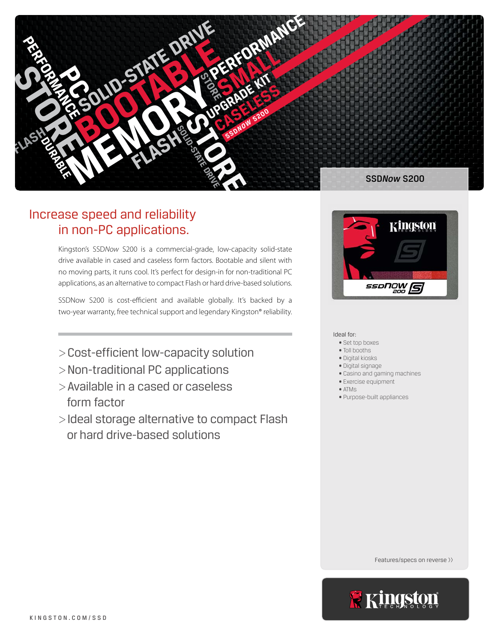

# Increase speed and reliability in non-PC applications.

Kingston's SSD*Now* S200 is a commercial-grade, low-capacity solid-state drive available in cased and caseless form factors. Bootable and silent with no moving parts, it runs cool. It's perfect for design-in for non-traditional PC applications, as an alternative to compact Flash or hard drive-based solutions.

SSDNow S200 is cost-efficient and available globally. It's backed by a two-year warranty, free technical support and legendary Kingston® reliability.

- >Cost-efficient low-capacity solution
- >Non-traditional PC applications
- >Available in a cased or caseless form factor
- >Ideal storage alternative to compact Flash or hard drive-based solutions



Ideal for:

- Set top boxes
- Toll booths
- Digital kiosks
- Digital signage
- Casino and gaming machines
- Exercise equipment • ATMs
- Purpose-built appliances

Features/specs on reverse >>